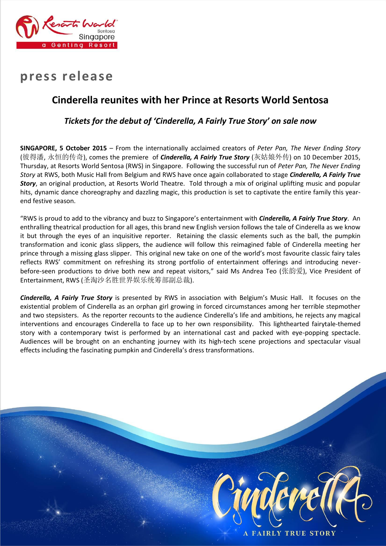

# **press release**

# **Cinderella reunites with her Prince at Resorts World Sentosa**

# *Tickets for the debut of 'Cinderella, A Fairly True Story' on sale now*

**SINGAPORE, 5 October 2015** – From the internationally acclaimed creators of *Peter Pan, The Never Ending Story* (彼得潘, 永恒的传奇), comes the premiere of *Cinderella, A Fairly True Story* (灰姑娘外传) on 10 December 2015, Thursday, at Resorts World Sentosa (RWS) in Singapore. Following the successful run of *Peter Pan, The Never Ending Story* at RWS, both Music Hall from Belgium and RWS have once again collaborated to stage *Cinderella, A Fairly True Story*, an original production, at Resorts World Theatre. Told through a mix of original uplifting music and popular hits, dynamic dance choreography and dazzling magic, this production is set to captivate the entire family this yearend festive season.

"RWS is proud to add to the vibrancy and buzz to Singapore's entertainment with *Cinderella, A Fairly True Story*. An enthralling theatrical production for all ages, this brand new English version follows the tale of Cinderella as we know it but through the eyes of an inquisitive reporter. Retaining the classic elements such as the ball, the pumpkin transformation and iconic glass slippers, the audience will follow this reimagined fable of Cinderella meeting her prince through a missing glass slipper. This original new take on one of the world's most favourite classic fairy tales reflects RWS' commitment on refreshing its strong portfolio of entertainment offerings and introducing neverbefore-seen productions to drive both new and repeat visitors," said Ms Andrea Teo (张韵爱), Vice President of Entertainment, RWS (圣淘沙名胜世界娱乐统筹部副总裁).

*Cinderella, A Fairly True Story* is presented by RWS in association with Belgium's Music Hall. It focuses on the existential problem of Cinderella as an orphan girl growing in forced circumstances among her terrible stepmother and two stepsisters. As the reporter recounts to the audience Cinderella's life and ambitions, he rejects any magical interventions and encourages Cinderella to face up to her own responsibility. This lighthearted fairytale-themed story with a contemporary twist is performed by an international cast and packed with eye-popping spectacle. Audiences will be brought on an enchanting journey with its high-tech scene projections and spectacular visual effects including the fascinating pumpkin and Cinderella's dress transformations.

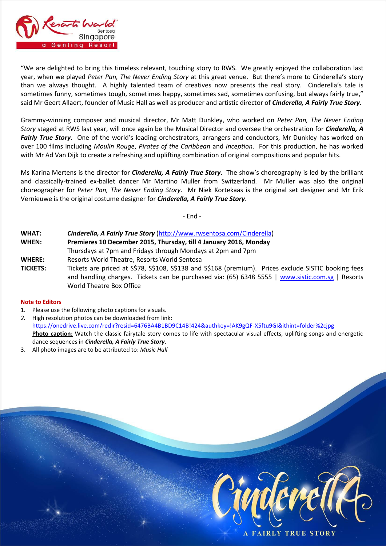

"We are delighted to bring this timeless relevant, touching story to RWS. We greatly enjoyed the collaboration last year, when we played *Peter Pan, The Never Ending Story* at this great venue. But there's more to Cinderella's story than we always thought. A highly talented team of creatives now presents the real story. Cinderella's tale is sometimes funny, sometimes tough, sometimes happy, sometimes sad, sometimes confusing, but always fairly true," said Mr Geert Allaert, founder of Music Hall as well as producer and artistic director of *Cinderella, A Fairly True Story*.

Grammy-winning composer and musical director, Mr Matt Dunkley, who worked on *Peter Pan, The Never Ending Story* staged at RWS last year, will once again be the Musical Director and oversee the orchestration for *Cinderella, A Fairly True Story*. One of the world's leading orchestrators, arrangers and conductors, Mr Dunkley has worked on over 100 films including *Moulin Rouge*, *Pirates of the Caribbean* and *Inception*. For this production, he has worked with Mr Ad Van Dijk to create a refreshing and uplifting combination of original compositions and popular hits.

Ms Karina Mertens is the director for *Cinderella, A Fairly True Story*. The show's choreography is led by the brilliant and classically-trained ex-ballet dancer Mr Martino Muller from Switzerland. Mr Muller was also the original choreographer for *Peter Pan, The Never Ending Story*. Mr Niek Kortekaas is the original set designer and Mr Erik Vernieuwe is the original costume designer for *Cinderella, A Fairly True Story*.

- End -

| WHAT:           | Cinderella, A Fairly True Story (http://www.rwsentosa.com/Cinderella)                                                                                                                                                                |
|-----------------|--------------------------------------------------------------------------------------------------------------------------------------------------------------------------------------------------------------------------------------|
| WHEN:           | Premieres 10 December 2015, Thursday, till 4 January 2016, Monday                                                                                                                                                                    |
|                 | Thursdays at 7pm and Fridays through Mondays at 2pm and 7pm                                                                                                                                                                          |
| <b>WHERE:</b>   | Resorts World Theatre, Resorts World Sentosa                                                                                                                                                                                         |
| <b>TICKETS:</b> | Tickets are priced at S\$78, S\$108, S\$138 and S\$168 (premium). Prices exclude SISTIC booking fees<br>and handling charges. Tickets can be purchased via: (65) 6348 5555   www.sistic.com.sg   Resorts<br>World Theatre Box Office |

## **Note to Editors**

- 1. Please use the following photo captions for visuals.
- *2.* High resolution photos can be downloaded from link: <https://onedrive.live.com/redir?resid=6476BA4B1BD9C14B!424&authkey=!AK9gQF-X5ftu9GI&ithint=folder%2cjpg> **Photo caption:** Watch the classic fairytale story comes to life with spectacular visual effects, uplifting songs and energetic dance sequences in *Cinderella, A Fairly True Story*.
- 3. All photo images are to be attributed to: *Music Hall*